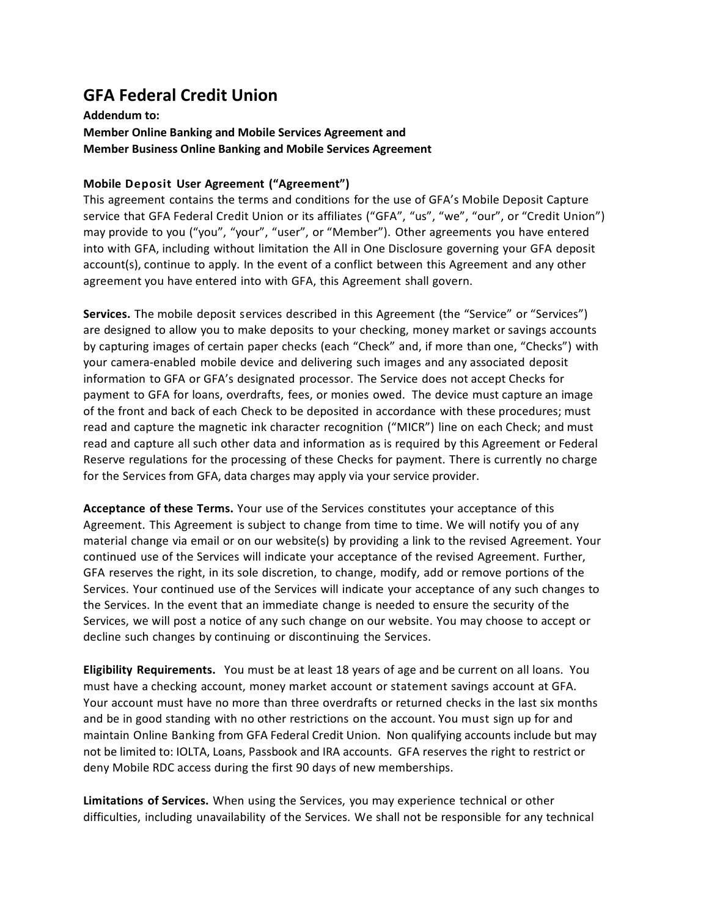## GFA Federal Credit Union

## Addendum to: Member Online Banking and Mobile Services Agreement and Member Business Online Banking and Mobile Services Agreement

## Mobile Deposit User Agreement ("Agreement")

This agreement contains the terms and conditions for the use of GFA's Mobile Deposit Capture service that GFA Federal Credit Union or its affiliates ("GFA", "us", "we", "our", or "Credit Union") may provide to you ("you", "your", "user", or "Member"). Other agreements you have entered into with GFA, including without limitation the All in One Disclosure governing your GFA deposit account(s), continue to apply. In the event of a conflict between this Agreement and any other agreement you have entered into with GFA, this Agreement shall govern.

Services. The mobile deposit services described in this Agreement (the "Service" or "Services") are designed to allow you to make deposits to your checking, money market or savings accounts by capturing images of certain paper checks (each "Check" and, if more than one, "Checks") with your camera-enabled mobile device and delivering such images and any associated deposit information to GFA or GFA's designated processor. The Service does not accept Checks for payment to GFA for loans, overdrafts, fees, or monies owed. The device must capture an image of the front and back of each Check to be deposited in accordance with these procedures; must read and capture the magnetic ink character recognition ("MICR") line on each Check; and must read and capture all such other data and information as is required by this Agreement or Federal Reserve regulations for the processing of these Checks for payment. There is currently no charge for the Services from GFA, data charges may apply via your service provider.

Acceptance of these Terms. Your use of the Services constitutes your acceptance of this Agreement. This Agreement is subject to change from time to time. We will notify you of any material change via email or on our website(s) by providing a link to the revised Agreement. Your continued use of the Services will indicate your acceptance of the revised Agreement. Further, GFA reserves the right, in its sole discretion, to change, modify, add or remove portions of the Services. Your continued use of the Services will indicate your acceptance of any such changes to the Services. In the event that an immediate change is needed to ensure the security of the Services, we will post a notice of any such change on our website. You may choose to accept or decline such changes by continuing or discontinuing the Services.

Eligibility Requirements. You must be at least 18 years of age and be current on all loans. You must have a checking account, money market account or statement savings account at GFA. Your account must have no more than three overdrafts or returned checks in the last six months and be in good standing with no other restrictions on the account. You must sign up for and maintain Online Banking from GFA Federal Credit Union. Non qualifying accounts include but may not be limited to: IOLTA, Loans, Passbook and IRA accounts. GFA reserves the right to restrict or deny Mobile RDC access during the first 90 days of new memberships.

Limitations of Services. When using the Services, you may experience technical or other difficulties, including unavailability of the Services. We shall not be responsible for any technical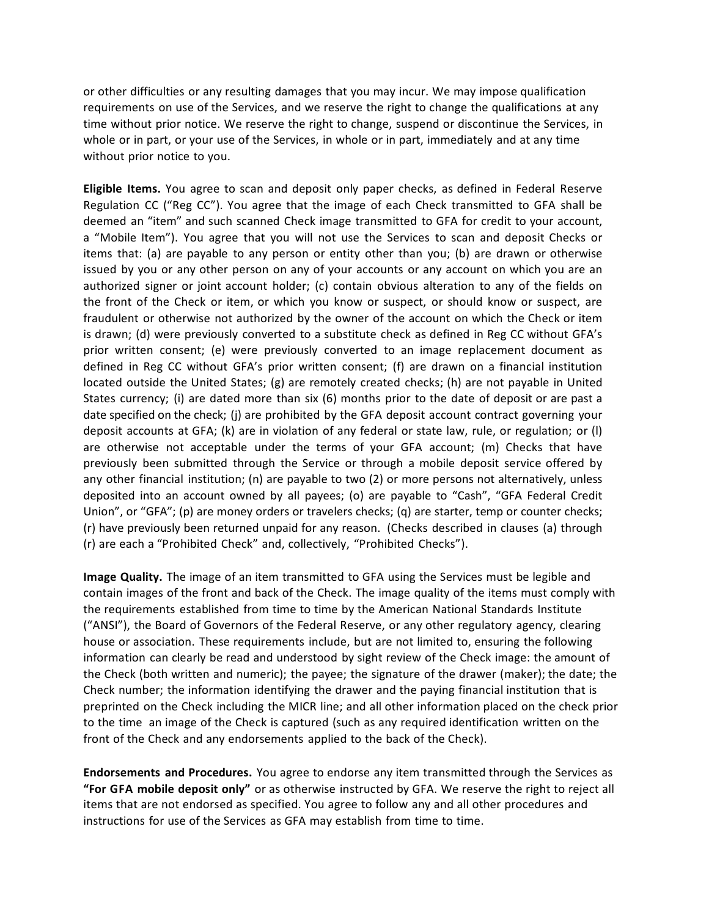or other difficulties or any resulting damages that you may incur. We may impose qualification requirements on use of the Services, and we reserve the right to change the qualifications at any time without prior notice. We reserve the right to change, suspend or discontinue the Services, in whole or in part, or your use of the Services, in whole or in part, immediately and at any time without prior notice to you.

Eligible Items. You agree to scan and deposit only paper checks, as defined in Federal Reserve Regulation CC ("Reg CC"). You agree that the image of each Check transmitted to GFA shall be deemed an "item" and such scanned Check image transmitted to GFA for credit to your account, a "Mobile Item"). You agree that you will not use the Services to scan and deposit Checks or items that: (a) are payable to any person or entity other than you; (b) are drawn or otherwise issued by you or any other person on any of your accounts or any account on which you are an authorized signer or joint account holder; (c) contain obvious alteration to any of the fields on the front of the Check or item, or which you know or suspect, or should know or suspect, are fraudulent or otherwise not authorized by the owner of the account on which the Check or item is drawn; (d) were previously converted to a substitute check as defined in Reg CC without GFA's prior written consent; (e) were previously converted to an image replacement document as defined in Reg CC without GFA's prior written consent; (f) are drawn on a financial institution located outside the United States; (g) are remotely created checks; (h) are not payable in United States currency; (i) are dated more than six (6) months prior to the date of deposit or are past a date specified on the check; (j) are prohibited by the GFA deposit account contract governing your deposit accounts at GFA; (k) are in violation of any federal or state law, rule, or regulation; or (l) are otherwise not acceptable under the terms of your GFA account; (m) Checks that have previously been submitted through the Service or through a mobile deposit service offered by any other financial institution; (n) are payable to two (2) or more persons not alternatively, unless deposited into an account owned by all payees; (o) are payable to "Cash", "GFA Federal Credit Union", or "GFA"; (p) are money orders or travelers checks; (q) are starter, temp or counter checks; (r) have previously been returned unpaid for any reason. (Checks described in clauses (a) through (r) are each a "Prohibited Check" and, collectively, "Prohibited Checks").

Image Quality. The image of an item transmitted to GFA using the Services must be legible and contain images of the front and back of the Check. The image quality of the items must comply with the requirements established from time to time by the American National Standards Institute ("ANSI"), the Board of Governors of the Federal Reserve, or any other regulatory agency, clearing house or association. These requirements include, but are not limited to, ensuring the following information can clearly be read and understood by sight review of the Check image: the amount of the Check (both written and numeric); the payee; the signature of the drawer (maker); the date; the Check number; the information identifying the drawer and the paying financial institution that is preprinted on the Check including the MICR line; and all other information placed on the check prior to the time an image of the Check is captured (such as any required identification written on the front of the Check and any endorsements applied to the back of the Check).

Endorsements and Procedures. You agree to endorse any item transmitted through the Services as "For GFA mobile deposit only" or as otherwise instructed by GFA. We reserve the right to reject all items that are not endorsed as specified. You agree to follow any and all other procedures and instructions for use of the Services as GFA may establish from time to time.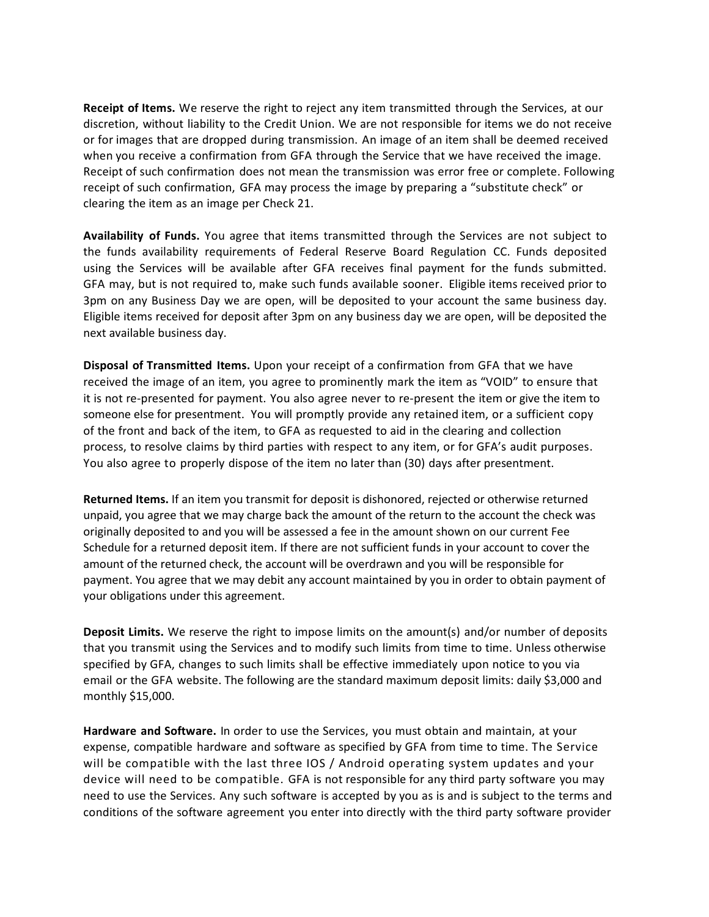Receipt of Items. We reserve the right to reject any item transmitted through the Services, at our discretion, without liability to the Credit Union. We are not responsible for items we do not receive or for images that are dropped during transmission. An image of an item shall be deemed received when you receive a confirmation from GFA through the Service that we have received the image. Receipt of such confirmation does not mean the transmission was error free or complete. Following receipt of such confirmation, GFA may process the image by preparing a "substitute check" or clearing the item as an image per Check 21.

Availability of Funds. You agree that items transmitted through the Services are not subject to the funds availability requirements of Federal Reserve Board Regulation CC. Funds deposited using the Services will be available after GFA receives final payment for the funds submitted. GFA may, but is not required to, make such funds available sooner. Eligible items received prior to 3pm on any Business Day we are open, will be deposited to your account the same business day. Eligible items received for deposit after 3pm on any business day we are open, will be deposited the next available business day.

Disposal of Transmitted Items. Upon your receipt of a confirmation from GFA that we have received the image of an item, you agree to prominently mark the item as "VOID" to ensure that it is not re-presented for payment. You also agree never to re-present the item or give the item to someone else for presentment. You will promptly provide any retained item, or a sufficient copy of the front and back of the item, to GFA as requested to aid in the clearing and collection process, to resolve claims by third parties with respect to any item, or for GFA's audit purposes. You also agree to properly dispose of the item no later than (30) days after presentment.

Returned Items. If an item you transmit for deposit is dishonored, rejected or otherwise returned unpaid, you agree that we may charge back the amount of the return to the account the check was originally deposited to and you will be assessed a fee in the amount shown on our current Fee Schedule for a returned deposit item. If there are not sufficient funds in your account to cover the amount of the returned check, the account will be overdrawn and you will be responsible for payment. You agree that we may debit any account maintained by you in order to obtain payment of your obligations under this agreement.

Deposit Limits. We reserve the right to impose limits on the amount(s) and/or number of deposits that you transmit using the Services and to modify such limits from time to time. Unless otherwise specified by GFA, changes to such limits shall be effective immediately upon notice to you via email or the GFA website. The following are the standard maximum deposit limits: daily \$3,000 and monthly \$15,000.

Hardware and Software. In order to use the Services, you must obtain and maintain, at your expense, compatible hardware and software as specified by GFA from time to time. The Service will be compatible with the last three IOS / Android operating system updates and your device will need to be compatible. GFA is not responsible for any third party software you may need to use the Services. Any such software is accepted by you as is and is subject to the terms and conditions of the software agreement you enter into directly with the third party software provider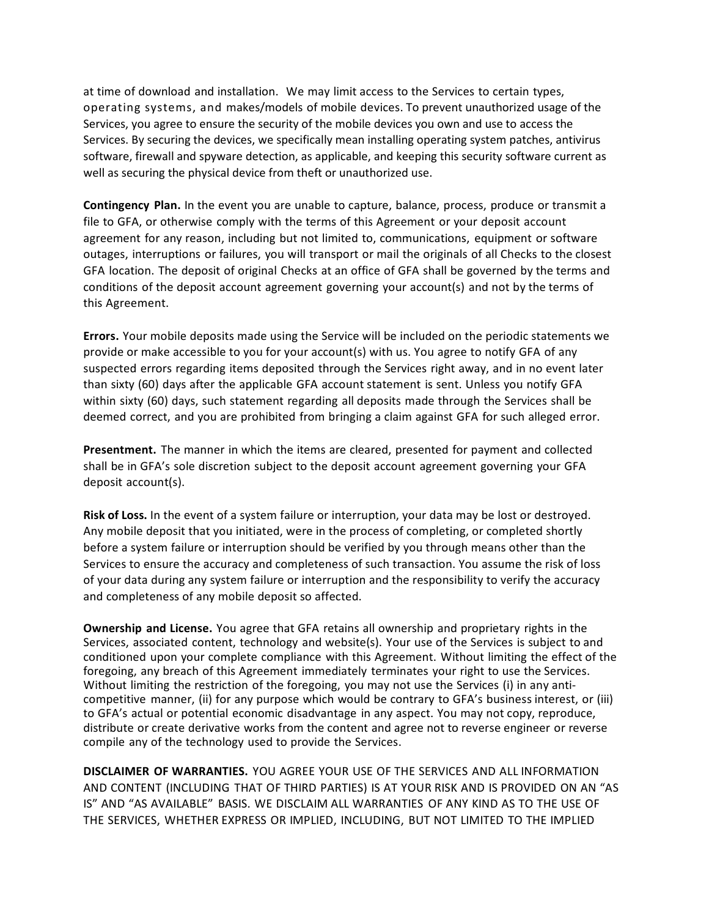at time of download and installation. We may limit access to the Services to certain types, operating systems, and makes/models of mobile devices. To prevent unauthorized usage of the Services, you agree to ensure the security of the mobile devices you own and use to access the Services. By securing the devices, we specifically mean installing operating system patches, antivirus software, firewall and spyware detection, as applicable, and keeping this security software current as well as securing the physical device from theft or unauthorized use.

Contingency Plan. In the event you are unable to capture, balance, process, produce or transmit a file to GFA, or otherwise comply with the terms of this Agreement or your deposit account agreement for any reason, including but not limited to, communications, equipment or software outages, interruptions or failures, you will transport or mail the originals of all Checks to the closest GFA location. The deposit of original Checks at an office of GFA shall be governed by the terms and conditions of the deposit account agreement governing your account(s) and not by the terms of this Agreement.

Errors. Your mobile deposits made using the Service will be included on the periodic statements we provide or make accessible to you for your account(s) with us. You agree to notify GFA of any suspected errors regarding items deposited through the Services right away, and in no event later than sixty (60) days after the applicable GFA account statement is sent. Unless you notify GFA within sixty (60) days, such statement regarding all deposits made through the Services shall be deemed correct, and you are prohibited from bringing a claim against GFA for such alleged error.

Presentment. The manner in which the items are cleared, presented for payment and collected shall be in GFA's sole discretion subject to the deposit account agreement governing your GFA deposit account(s).

Risk of Loss. In the event of a system failure or interruption, your data may be lost or destroyed. Any mobile deposit that you initiated, were in the process of completing, or completed shortly before a system failure or interruption should be verified by you through means other than the Services to ensure the accuracy and completeness of such transaction. You assume the risk of loss of your data during any system failure or interruption and the responsibility to verify the accuracy and completeness of any mobile deposit so affected.

Ownership and License. You agree that GFA retains all ownership and proprietary rights in the Services, associated content, technology and website(s). Your use of the Services is subject to and conditioned upon your complete compliance with this Agreement. Without limiting the effect of the foregoing, any breach of this Agreement immediately terminates your right to use the Services. Without limiting the restriction of the foregoing, you may not use the Services (i) in any anticompetitive manner, (ii) for any purpose which would be contrary to GFA's business interest, or (iii) to GFA's actual or potential economic disadvantage in any aspect. You may not copy, reproduce, distribute or create derivative works from the content and agree not to reverse engineer or reverse compile any of the technology used to provide the Services.

DISCLAIMER OF WARRANTIES. YOU AGREE YOUR USE OF THE SERVICES AND ALL INFORMATION AND CONTENT (INCLUDING THAT OF THIRD PARTIES) IS AT YOUR RISK AND IS PROVIDED ON AN "AS IS" AND "AS AVAILABLE" BASIS. WE DISCLAIM ALL WARRANTIES OF ANY KIND AS TO THE USE OF THE SERVICES, WHETHER EXPRESS OR IMPLIED, INCLUDING, BUT NOT LIMITED TO THE IMPLIED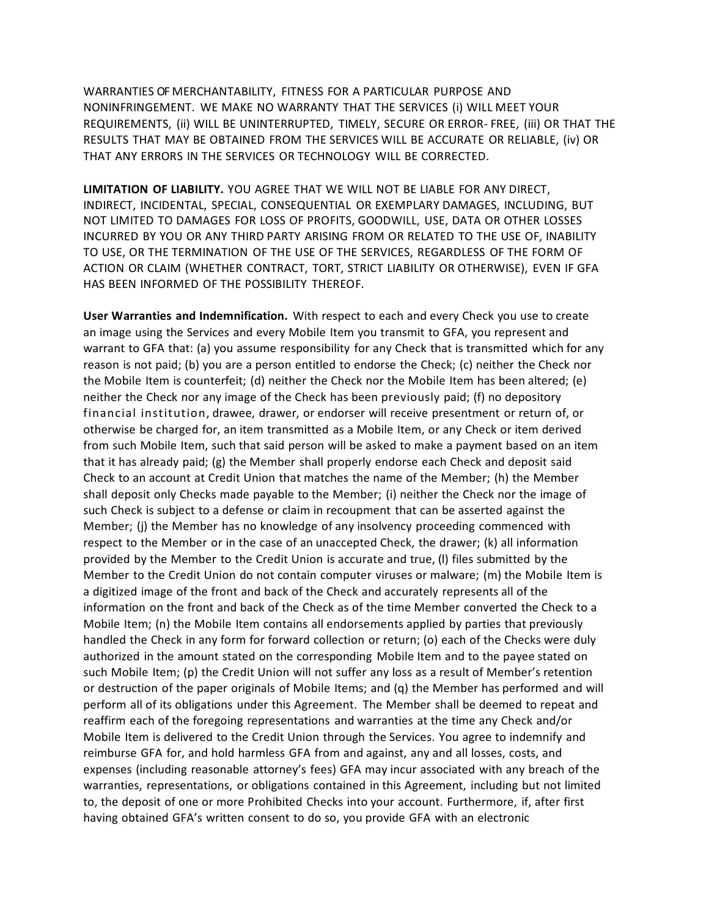WARRANTIES OF MERCHANTABILITY, FITNESS FOR A PARTICULAR PURPOSE AND NONINFRINGEMENT. WE MAKE NO WARRANTY THAT THE SERVICES (i) WILL MEET YOUR REQUIREMENTS, (ii) WILL BE UNINTERRUPTED, TIMELY, SECURE OR ERROR- FREE, (iii) OR THAT THE RESULTS THAT MAY BE OBTAINED FROM THE SERVICES WILL BE ACCURATE OR RELIABLE, (iv) OR THAT ANY ERRORS IN THE SERVICES OR TECHNOLOGY WILL BE CORRECTED.

LIMITATION OF LIABILITY. YOU AGREE THAT WE WILL NOT BE LIABLE FOR ANY DIRECT, INDIRECT, INCIDENTAL, SPECIAL, CONSEQUENTIAL OR EXEMPLARY DAMAGES, INCLUDING, BUT NOT LIMITED TO DAMAGES FOR LOSS OF PROFITS, GOODWILL, USE, DATA OR OTHER LOSSES INCURRED BY YOU OR ANY THIRD PARTY ARISING FROM OR RELATED TO THE USE OF, INABILITY TO USE, OR THE TERMINATION OF THE USE OF THE SERVICES, REGARDLESS OF THE FORM OF ACTION OR CLAIM (WHETHER CONTRACT, TORT, STRICT LIABILITY OR OTHERWISE), EVEN IF GFA HAS BEEN INFORMED OF THE POSSIBILITY THEREOF.

User Warranties and Indemnification. With respect to each and every Check you use to create an image using the Services and every Mobile Item you transmit to GFA, you represent and warrant to GFA that: (a) you assume responsibility for any Check that is transmitted which for any reason is not paid; (b) you are a person entitled to endorse the Check; (c) neither the Check nor the Mobile Item is counterfeit; (d) neither the Check nor the Mobile Item has been altered; (e) neither the Check nor any image of the Check has been previously paid; (f) no depository financial institution, drawee, drawer, or endorser will receive presentment or return of, or otherwise be charged for, an item transmitted as a Mobile Item, or any Check or item derived from such Mobile Item, such that said person will be asked to make a payment based on an item that it has already paid; (g) the Member shall properly endorse each Check and deposit said Check to an account at Credit Union that matches the name of the Member; (h) the Member shall deposit only Checks made payable to the Member; (i) neither the Check nor the image of such Check is subject to a defense or claim in recoupment that can be asserted against the Member; (j) the Member has no knowledge of any insolvency proceeding commenced with respect to the Member or in the case of an unaccepted Check, the drawer; (k) all information provided by the Member to the Credit Union is accurate and true, (l) files submitted by the Member to the Credit Union do not contain computer viruses or malware; (m) the Mobile Item is a digitized image of the front and back of the Check and accurately represents all of the information on the front and back of the Check as of the time Member converted the Check to a Mobile Item; (n) the Mobile Item contains all endorsements applied by parties that previously handled the Check in any form for forward collection or return; (o) each of the Checks were duly authorized in the amount stated on the corresponding Mobile Item and to the payee stated on such Mobile Item; (p) the Credit Union will not suffer any loss as a result of Member's retention or destruction of the paper originals of Mobile Items; and (q) the Member has performed and will perform all of its obligations under this Agreement. The Member shall be deemed to repeat and reaffirm each of the foregoing representations and warranties at the time any Check and/or Mobile Item is delivered to the Credit Union through the Services. You agree to indemnify and reimburse GFA for, and hold harmless GFA from and against, any and all losses, costs, and expenses (including reasonable attorney's fees) GFA may incur associated with any breach of the warranties, representations, or obligations contained in this Agreement, including but not limited to, the deposit of one or more Prohibited Checks into your account. Furthermore, if, after first having obtained GFA's written consent to do so, you provide GFA with an electronic